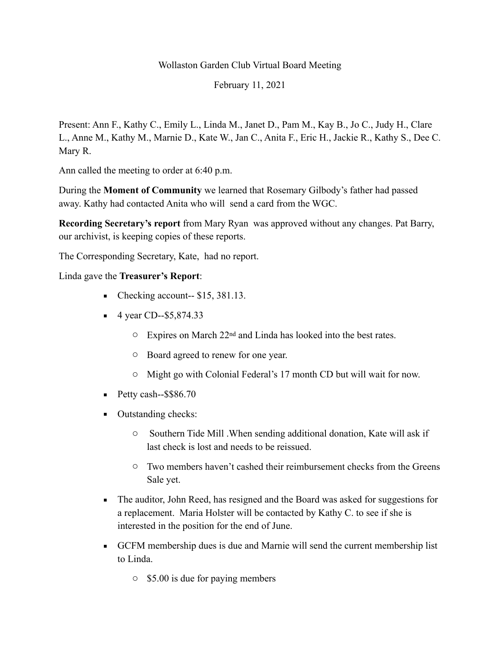#### Wollaston Garden Club Virtual Board Meeting

February 11, 2021

Present: Ann F., Kathy C., Emily L., Linda M., Janet D., Pam M., Kay B., Jo C., Judy H., Clare L., Anne M., Kathy M., Marnie D., Kate W., Jan C., Anita F., Eric H., Jackie R., Kathy S., Dee C. Mary R.

Ann called the meeting to order at 6:40 p.m.

During the **Moment of Community** we learned that Rosemary Gilbody's father had passed away. Kathy had contacted Anita who will send a card from the WGC.

**Recording Secretary's report** from Mary Ryan was approved without any changes. Pat Barry, our archivist, is keeping copies of these reports.

The Corresponding Secretary, Kate, had no report.

Linda gave the **Treasurer's Report**:

- $\blacksquare$  Checking account-- \$15, 381.13.
- $\blacksquare$  4 year CD--\$5,874.33
	- o Expires on March 22nd and Linda has looked into the best rates.
	- o Board agreed to renew for one year.
	- o Might go with Colonial Federal's 17 month CD but will wait for now.
- $\blacksquare$  Petty cash--\$\$86.70
- Outstanding checks:
	- o Southern Tide Mill .When sending additional donation, Kate will ask if last check is lost and needs to be reissued.
	- o Two members haven't cashed their reimbursement checks from the Greens Sale yet.
- The auditor, John Reed, has resigned and the Board was asked for suggestions for a replacement. Maria Holster will be contacted by Kathy C. to see if she is interested in the position for the end of June.
- GCFM membership dues is due and Marnie will send the current membership list to Linda.
	- o \$5.00 is due for paying members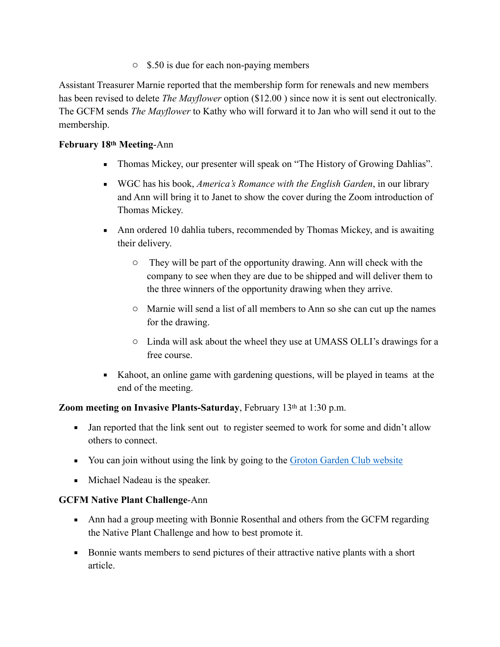o \$.50 is due for each non-paying members

Assistant Treasurer Marnie reported that the membership form for renewals and new members has been revised to delete *The Mayflower* option (\$12.00 ) since now it is sent out electronically. The GCFM sends *The Mayflower* to Kathy who will forward it to Jan who will send it out to the membership.

## **February 18th Meeting**-Ann

- Thomas Mickey, our presenter will speak on "The History of Growing Dahlias".
- WGC has his book, *America's Romance with the English Garden*, in our library and Ann will bring it to Janet to show the cover during the Zoom introduction of Thomas Mickey.
- Ann ordered 10 dahlia tubers, recommended by Thomas Mickey, and is awaiting their delivery.
	- o They will be part of the opportunity drawing. Ann will check with the company to see when they are due to be shipped and will deliver them to the three winners of the opportunity drawing when they arrive.
	- o Marnie will send a list of all members to Ann so she can cut up the names for the drawing.
	- o Linda will ask about the wheel they use at UMASS OLLI's drawings for a free course.
- Kahoot, an online game with gardening questions, will be played in teams at the end of the meeting.

### **Zoom meeting on Invasive Plants-Saturday**, February 13<sup>th</sup> at 1:30 p.m.

- **•** Jan reported that the link sent out to register seemed to work for some and didn't allow others to connect.
- You can join without using the link by going to the [Groton Garden Club website](http://grotongardenclub.org/wp/)
- Michael Nadeau is the speaker.

### **GCFM Native Plant Challenge**-Ann

- Ann had a group meeting with Bonnie Rosenthal and others from the GCFM regarding the Native Plant Challenge and how to best promote it.
- Bonnie wants members to send pictures of their attractive native plants with a short article.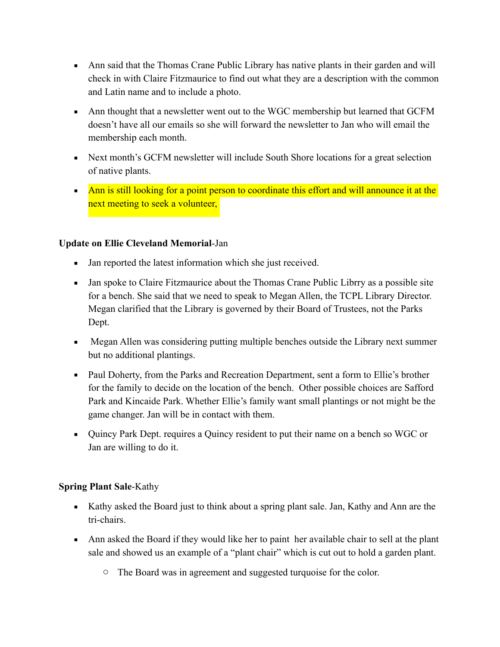- Ann said that the Thomas Crane Public Library has native plants in their garden and will check in with Claire Fitzmaurice to find out what they are a description with the common and Latin name and to include a photo.
- **Ann thought that a newsletter went out to the WGC membership but learned that GCFM** doesn't have all our emails so she will forward the newsletter to Jan who will email the membership each month.
- Next month's GCFM newsletter will include South Shore locations for a great selection of native plants.
- **EXECT** Ann is still looking for a point person to coordinate this effort and will announce it at the next meeting to seek a volunteer,

## **Update on Ellie Cleveland Memorial**-Jan

- Jan reported the latest information which she just received.
- Jan spoke to Claire Fitzmaurice about the Thomas Crane Public Librry as a possible site for a bench. She said that we need to speak to Megan Allen, the TCPL Library Director. Megan clarified that the Library is governed by their Board of Trustees, not the Parks Dept.
- Megan Allen was considering putting multiple benches outside the Library next summer but no additional plantings.
- Paul Doherty, from the Parks and Recreation Department, sent a form to Ellie's brother for the family to decide on the location of the bench. Other possible choices are Safford Park and Kincaide Park. Whether Ellie's family want small plantings or not might be the game changer. Jan will be in contact with them.
- Quincy Park Dept. requires a Quincy resident to put their name on a bench so WGC or Jan are willing to do it.

### **Spring Plant Sale**-Kathy

- Kathy asked the Board just to think about a spring plant sale. Jan, Kathy and Ann are the tri-chairs.
- Ann asked the Board if they would like her to paint her available chair to sell at the plant sale and showed us an example of a "plant chair" which is cut out to hold a garden plant.
	- o The Board was in agreement and suggested turquoise for the color.